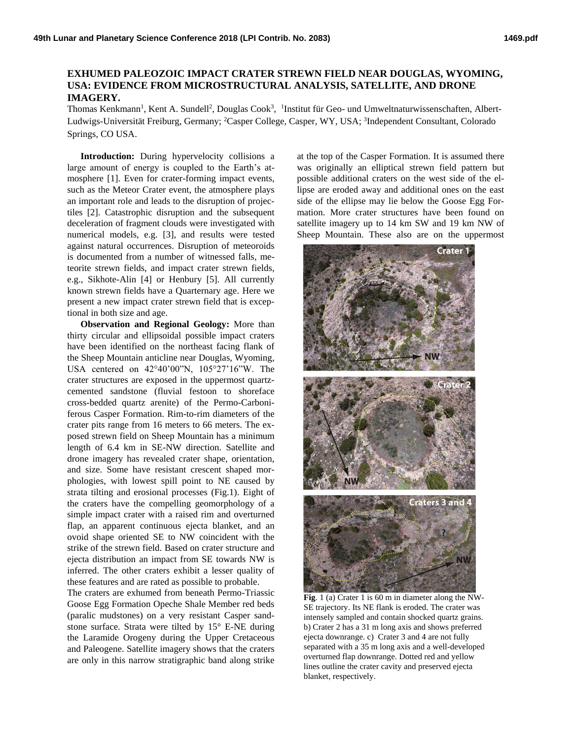## **EXHUMED PALEOZOIC IMPACT CRATER STREWN FIELD NEAR DOUGLAS, WYOMING, USA: EVIDENCE FROM MICROSTRUCTURAL ANALYSIS, SATELLITE, AND DRONE IMAGERY.**

Thomas Kenkmann<sup>1</sup>, Kent A. Sundell<sup>2</sup>, Douglas Cook<sup>3</sup>, <sup>1</sup>Institut für Geo- und Umweltnaturwissenschaften, Albert-Ludwigs-Universität Freiburg, Germany; <sup>2</sup>Casper College, Casper, WY, USA; <sup>3</sup>Independent Consultant, Colorado Springs, CO USA.

**Introduction:** During hypervelocity collisions a large amount of energy is coupled to the Earth's atmosphere [1]. Even for crater-forming impact events, such as the Meteor Crater event, the atmosphere plays an important role and leads to the disruption of projectiles [2]. Catastrophic disruption and the subsequent deceleration of fragment clouds were investigated with numerical models, e.g. [3], and results were tested against natural occurrences. Disruption of meteoroids is documented from a number of witnessed falls, meteorite strewn fields, and impact crater strewn fields, e.g., Sikhote-Alin [4] or Henbury [5]. All currently known strewn fields have a Quarternary age. Here we present a new impact crater strewn field that is exceptional in both size and age.

**Observation and Regional Geology:** More than thirty circular and ellipsoidal possible impact craters have been identified on the northeast facing flank of the Sheep Mountain anticline near Douglas, Wyoming, USA centered on 42°40'00"N, 105°27'16"W. The crater structures are exposed in the uppermost quartzcemented sandstone (fluvial festoon to shoreface cross-bedded quartz arenite) of the Permo-Carboniferous Casper Formation. Rim-to-rim diameters of the crater pits range from 16 meters to 66 meters. The exposed strewn field on Sheep Mountain has a minimum length of 6.4 km in SE-NW direction. Satellite and drone imagery has revealed crater shape, orientation, and size. Some have resistant crescent shaped morphologies, with lowest spill point to NE caused by strata tilting and erosional processes (Fig.1). Eight of the craters have the compelling geomorphology of a simple impact crater with a raised rim and overturned flap, an apparent continuous ejecta blanket, and an ovoid shape oriented SE to NW coincident with the strike of the strewn field. Based on crater structure and ejecta distribution an impact from SE towards NW is inferred. The other craters exhibit a lesser quality of these features and are rated as possible to probable.

The craters are exhumed from beneath Permo-Triassic Goose Egg Formation Opeche Shale Member red beds (paralic mudstones) on a very resistant Casper sandstone surface. Strata were tilted by 15° E-NE during the Laramide Orogeny during the Upper Cretaceous and Paleogene. Satellite imagery shows that the craters are only in this narrow stratigraphic band along strike

at the top of the Casper Formation. It is assumed there was originally an elliptical strewn field pattern but possible additional craters on the west side of the ellipse are eroded away and additional ones on the east side of the ellipse may lie below the Goose Egg Formation. More crater structures have been found on satellite imagery up to 14 km SW and 19 km NW of Sheep Mountain. These also are on the uppermost



**Fig**. 1 (a) Crater 1 is 60 m in diameter along the NW-SE trajectory. Its NE flank is eroded. The crater was intensely sampled and contain shocked quartz grains. b) Crater 2 has a 31 m long axis and shows preferred ejecta downrange. c) Crater 3 and 4 are not fully separated with a 35 m long axis and a well-developed overturned flap downrange. Dotted red and yellow lines outline the crater cavity and preserved ejecta blanket, respectively.